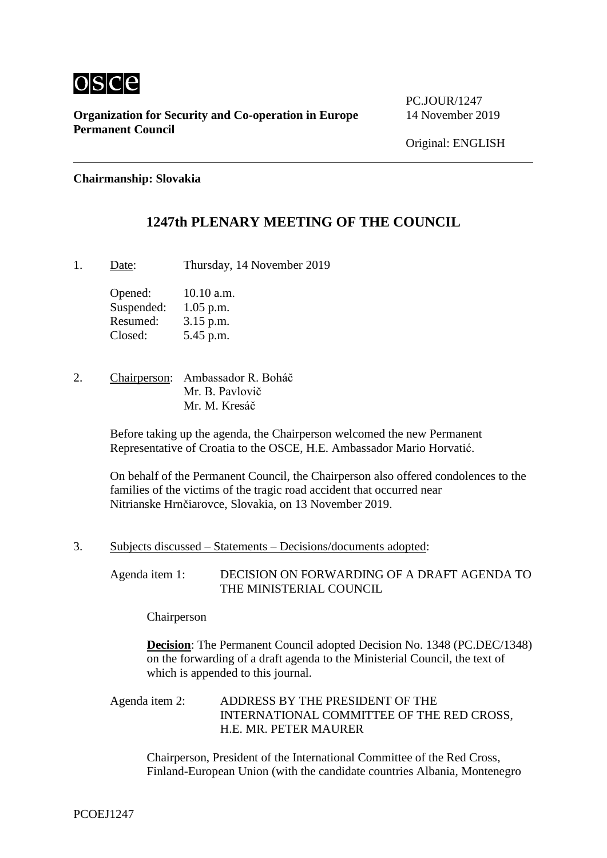

**Organization for Security and Co-operation in Europe** 14 November 2019 **Permanent Council**

PC. JOUR/1247

## **Chairmanship: Slovakia**

# **1247th PLENARY MEETING OF THE COUNCIL**

1. Date: Thursday, 14 November 2019

Opened: 10.10 a.m. Suspended: 1.05 p.m. Resumed: 3.15 p.m. Closed: 5.45 p.m.

2. Chairperson: Ambassador R. Boháč Mr. B. Pavlovič Mr. M. Kresáč

> Before taking up the agenda, the Chairperson welcomed the new Permanent Representative of Croatia to the OSCE, H.E. Ambassador Mario Horvatić.

On behalf of the Permanent Council, the Chairperson also offered condolences to the families of the victims of the tragic road accident that occurred near Nitrianske Hrnčiarovce, Slovakia, on 13 November 2019.

3. Subjects discussed – Statements – Decisions/documents adopted:

Agenda item 1: DECISION ON FORWARDING OF A DRAFT AGENDA TO THE MINISTERIAL COUNCIL

Chairperson

**Decision**: The Permanent Council adopted Decision No. 1348 (PC.DEC/1348) on the forwarding of a draft agenda to the Ministerial Council, the text of which is appended to this journal.

Agenda item 2: ADDRESS BY THE PRESIDENT OF THE INTERNATIONAL COMMITTEE OF THE RED CROSS, H.E. MR. PETER MAURER

Chairperson, President of the International Committee of the Red Cross, Finland-European Union (with the candidate countries Albania, Montenegro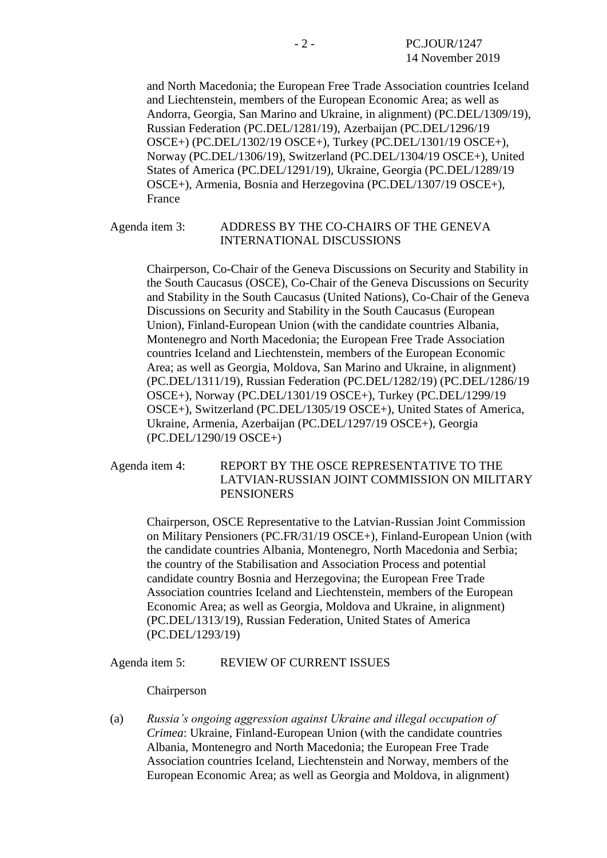and North Macedonia; the European Free Trade Association countries Iceland and Liechtenstein, members of the European Economic Area; as well as Andorra, Georgia, San Marino and Ukraine, in alignment) (PC.DEL/1309/19), Russian Federation (PC.DEL/1281/19), Azerbaijan (PC.DEL/1296/19 OSCE+) (PC.DEL/1302/19 OSCE+), Turkey (PC.DEL/1301/19 OSCE+), Norway (PC.DEL/1306/19), Switzerland (PC.DEL/1304/19 OSCE+), United States of America (PC.DEL/1291/19), Ukraine, Georgia (PC.DEL/1289/19 OSCE+), Armenia, Bosnia and Herzegovina (PC.DEL/1307/19 OSCE+), France

#### Agenda item 3: ADDRESS BY THE CO-CHAIRS OF THE GENEVA INTERNATIONAL DISCUSSIONS

Chairperson, Co-Chair of the Geneva Discussions on Security and Stability in the South Caucasus (OSCE), Co-Chair of the Geneva Discussions on Security and Stability in the South Caucasus (United Nations), Co-Chair of the Geneva Discussions on Security and Stability in the South Caucasus (European Union), Finland-European Union (with the candidate countries Albania, Montenegro and North Macedonia; the European Free Trade Association countries Iceland and Liechtenstein, members of the European Economic Area; as well as Georgia, Moldova, San Marino and Ukraine, in alignment) (PC.DEL/1311/19), Russian Federation (PC.DEL/1282/19) (PC.DEL/1286/19 OSCE+), Norway (PC.DEL/1301/19 OSCE+), Turkey (PC.DEL/1299/19 OSCE+), Switzerland (PC.DEL/1305/19 OSCE+), United States of America, Ukraine, Armenia, Azerbaijan (PC.DEL/1297/19 OSCE+), Georgia (PC.DEL/1290/19 OSCE+)

# Agenda item 4: REPORT BY THE OSCE REPRESENTATIVE TO THE LATVIAN-RUSSIAN JOINT COMMISSION ON MILITARY PENSIONERS

Chairperson, OSCE Representative to the Latvian-Russian Joint Commission on Military Pensioners (PC.FR/31/19 OSCE+), Finland-European Union (with the candidate countries Albania, Montenegro, North Macedonia and Serbia; the country of the Stabilisation and Association Process and potential candidate country Bosnia and Herzegovina; the European Free Trade Association countries Iceland and Liechtenstein, members of the European Economic Area; as well as Georgia, Moldova and Ukraine, in alignment) (PC.DEL/1313/19), Russian Federation, United States of America (PC.DEL/1293/19)

Agenda item 5: REVIEW OF CURRENT ISSUES

### Chairperson

(a) *Russia's ongoing aggression against Ukraine and illegal occupation of Crimea*: Ukraine, Finland-European Union (with the candidate countries Albania, Montenegro and North Macedonia; the European Free Trade Association countries Iceland, Liechtenstein and Norway, members of the European Economic Area; as well as Georgia and Moldova, in alignment)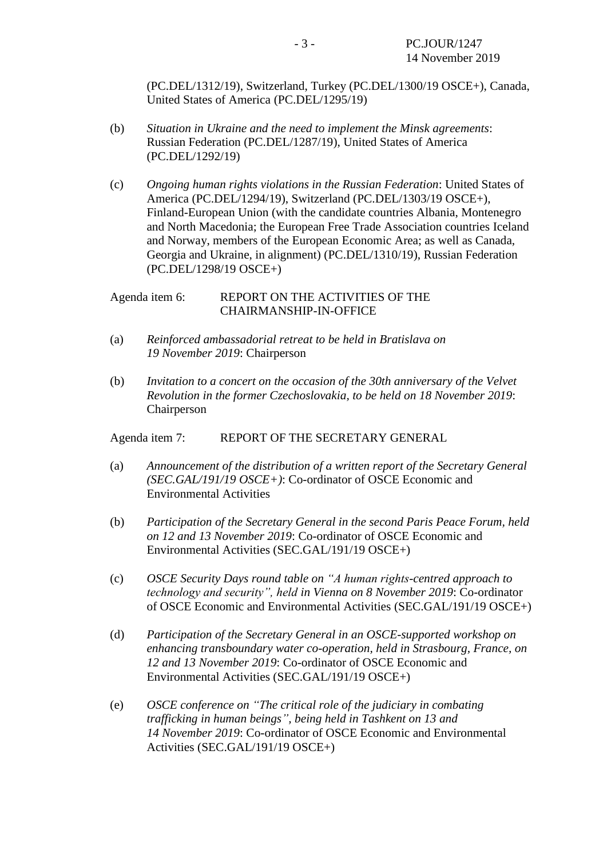(PC.DEL/1312/19), Switzerland, Turkey (PC.DEL/1300/19 OSCE+), Canada, United States of America (PC.DEL/1295/19)

- (b) *Situation in Ukraine and the need to implement the Minsk agreements*: Russian Federation (PC.DEL/1287/19), United States of America (PC.DEL/1292/19)
- (c) *Ongoing human rights violations in the Russian Federation*: United States of America (PC.DEL/1294/19), Switzerland (PC.DEL/1303/19 OSCE+), Finland-European Union (with the candidate countries Albania, Montenegro and North Macedonia; the European Free Trade Association countries Iceland and Norway, members of the European Economic Area; as well as Canada, Georgia and Ukraine, in alignment) (PC.DEL/1310/19), Russian Federation (PC.DEL/1298/19 OSCE+)

## Agenda item 6: REPORT ON THE ACTIVITIES OF THE CHAIRMANSHIP-IN-OFFICE

- (a) *Reinforced ambassadorial retreat to be held in Bratislava on 19 November 2019*: Chairperson
- (b) *Invitation to a concert on the occasion of the 30th anniversary of the Velvet Revolution in the former Czechoslovakia, to be held on 18 November 2019*: Chairperson

Agenda item 7: REPORT OF THE SECRETARY GENERAL

- (a) *Announcement of the distribution of a written report of the Secretary General (SEC.GAL/191/19 OSCE+)*: Co-ordinator of OSCE Economic and Environmental Activities
- (b) *Participation of the Secretary General in the second Paris Peace Forum, held on 12 and 13 November 2019*: Co-ordinator of OSCE Economic and Environmental Activities (SEC.GAL/191/19 OSCE+)
- (c) *OSCE Security Days round table on "A human rights-centred approach to technology and security", held in Vienna on 8 November 2019*: Co-ordinator of OSCE Economic and Environmental Activities (SEC.GAL/191/19 OSCE+)
- (d) *Participation of the Secretary General in an OSCE-supported workshop on enhancing transboundary water co-operation, held in Strasbourg, France, on 12 and 13 November 2019*: Co-ordinator of OSCE Economic and Environmental Activities (SEC.GAL/191/19 OSCE+)
- (e) *OSCE conference on "The critical role of the judiciary in combating trafficking in human beings", being held in Tashkent on 13 and 14 November 2019*: Co-ordinator of OSCE Economic and Environmental Activities (SEC.GAL/191/19 OSCE+)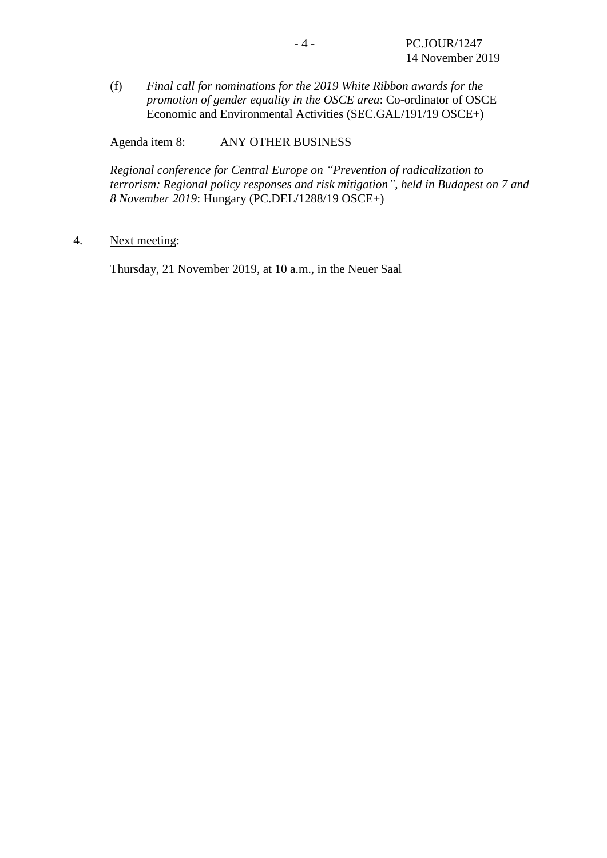(f) *Final call for nominations for the 2019 White Ribbon awards for the promotion of gender equality in the OSCE area*: Co-ordinator of OSCE Economic and Environmental Activities (SEC.GAL/191/19 OSCE+)

Agenda item 8: ANY OTHER BUSINESS

*Regional conference for Central Europe on "Prevention of radicalization to terrorism: Regional policy responses and risk mitigation", held in Budapest on 7 and 8 November 2019*: Hungary (PC.DEL/1288/19 OSCE+)

4. Next meeting:

Thursday, 21 November 2019, at 10 a.m., in the Neuer Saal